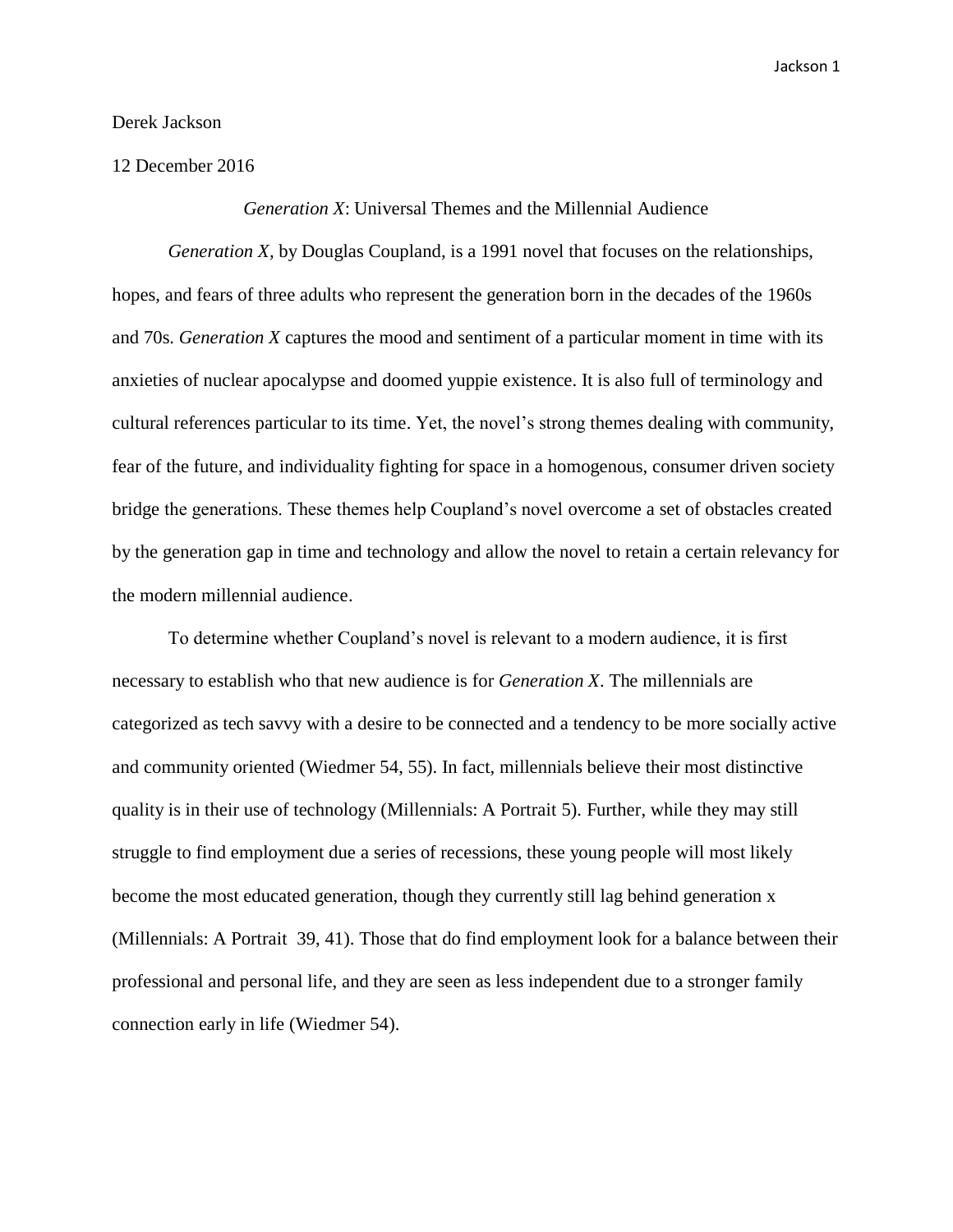## Derek Jackson

## 12 December 2016

*Generation X*: Universal Themes and the Millennial Audience

*Generation X,* by Douglas Coupland, is a 1991 novel that focuses on the relationships, hopes, and fears of three adults who represent the generation born in the decades of the 1960s and 70s. *Generation X* captures the mood and sentiment of a particular moment in time with its anxieties of nuclear apocalypse and doomed yuppie existence. It is also full of terminology and cultural references particular to its time. Yet, the novel's strong themes dealing with community, fear of the future, and individuality fighting for space in a homogenous, consumer driven society bridge the generations. These themes help Coupland's novel overcome a set of obstacles created by the generation gap in time and technology and allow the novel to retain a certain relevancy for the modern millennial audience.

To determine whether Coupland's novel is relevant to a modern audience, it is first necessary to establish who that new audience is for *Generation X*. The millennials are categorized as tech savvy with a desire to be connected and a tendency to be more socially active and community oriented (Wiedmer 54, 55). In fact, millennials believe their most distinctive quality is in their use of technology (Millennials: A Portrait 5). Further, while they may still struggle to find employment due a series of recessions, these young people will most likely become the most educated generation, though they currently still lag behind generation x (Millennials: A Portrait 39, 41). Those that do find employment look for a balance between their professional and personal life, and they are seen as less independent due to a stronger family connection early in life (Wiedmer 54).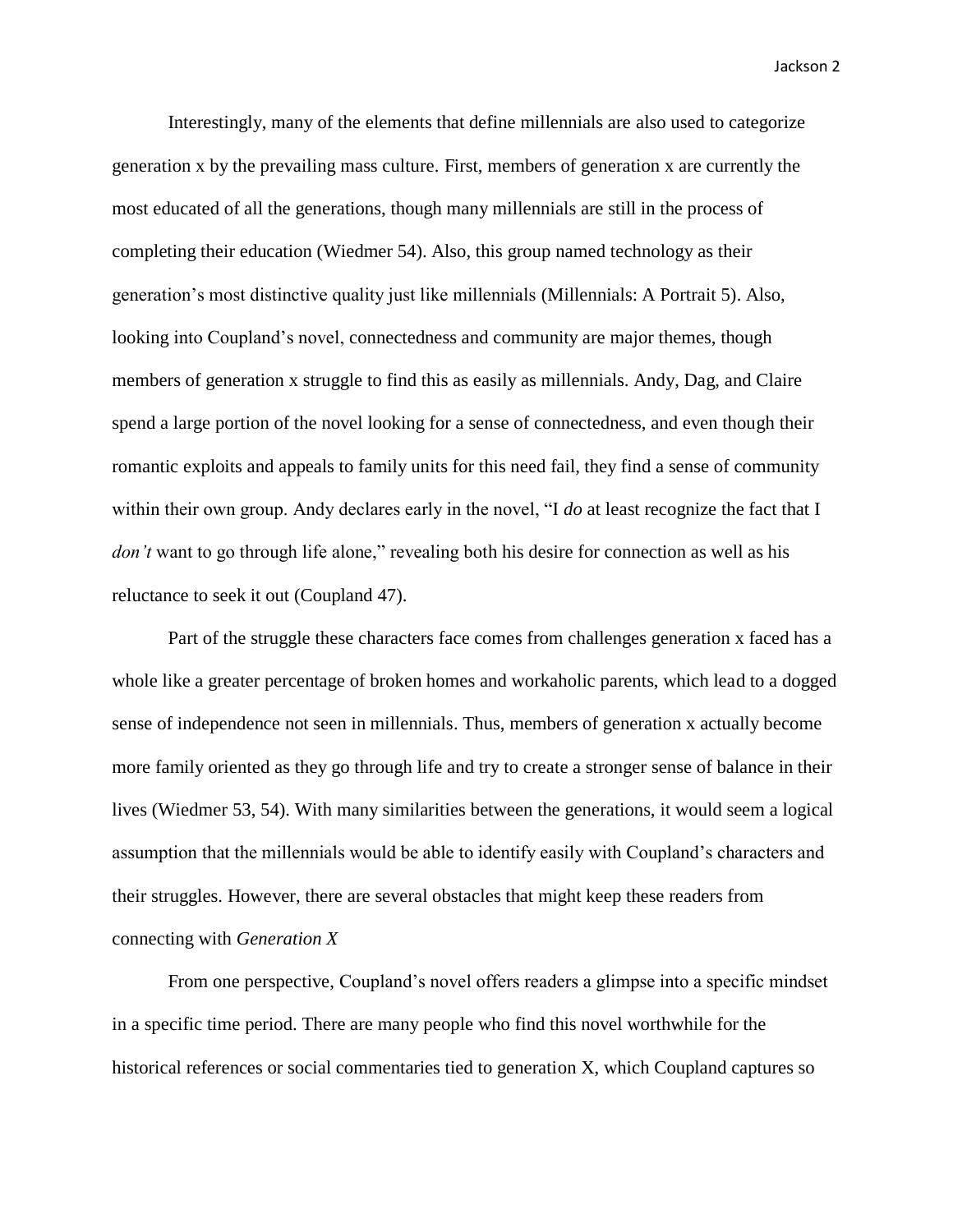Interestingly, many of the elements that define millennials are also used to categorize generation x by the prevailing mass culture. First, members of generation x are currently the most educated of all the generations, though many millennials are still in the process of completing their education (Wiedmer 54). Also, this group named technology as their generation's most distinctive quality just like millennials (Millennials: A Portrait 5). Also, looking into Coupland's novel, connectedness and community are major themes, though members of generation x struggle to find this as easily as millennials. Andy, Dag, and Claire spend a large portion of the novel looking for a sense of connectedness, and even though their romantic exploits and appeals to family units for this need fail, they find a sense of community within their own group. Andy declares early in the novel, "I *do* at least recognize the fact that I *don't* want to go through life alone," revealing both his desire for connection as well as his reluctance to seek it out (Coupland 47).

Part of the struggle these characters face comes from challenges generation x faced has a whole like a greater percentage of broken homes and workaholic parents, which lead to a dogged sense of independence not seen in millennials. Thus, members of generation x actually become more family oriented as they go through life and try to create a stronger sense of balance in their lives (Wiedmer 53, 54). With many similarities between the generations, it would seem a logical assumption that the millennials would be able to identify easily with Coupland's characters and their struggles. However, there are several obstacles that might keep these readers from connecting with *Generation X*

From one perspective, Coupland's novel offers readers a glimpse into a specific mindset in a specific time period. There are many people who find this novel worthwhile for the historical references or social commentaries tied to generation X, which Coupland captures so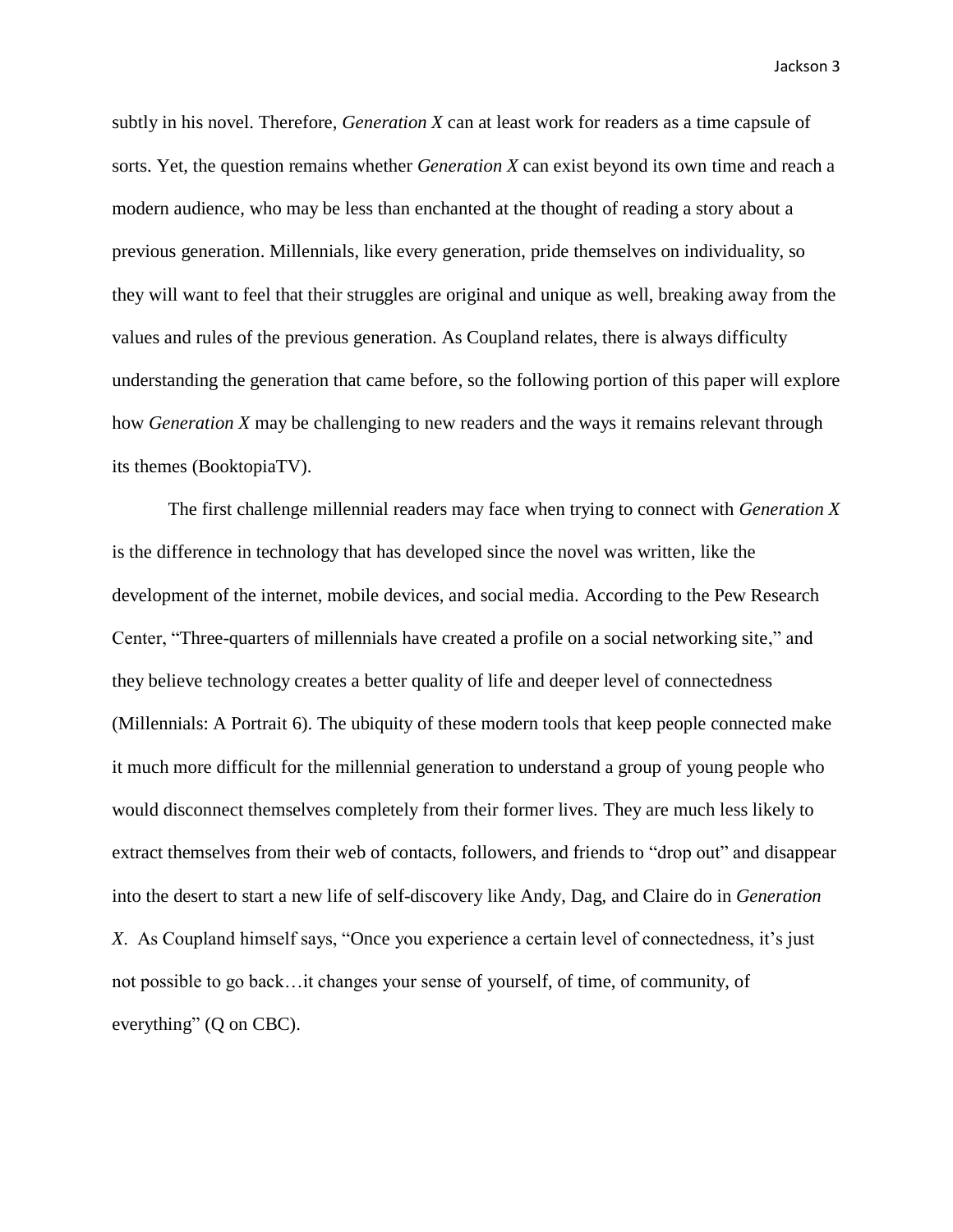subtly in his novel. Therefore, *Generation X* can at least work for readers as a time capsule of sorts. Yet, the question remains whether *Generation X* can exist beyond its own time and reach a modern audience, who may be less than enchanted at the thought of reading a story about a previous generation. Millennials, like every generation, pride themselves on individuality, so they will want to feel that their struggles are original and unique as well, breaking away from the values and rules of the previous generation. As Coupland relates, there is always difficulty understanding the generation that came before, so the following portion of this paper will explore how *Generation X* may be challenging to new readers and the ways it remains relevant through its themes (BooktopiaTV).

The first challenge millennial readers may face when trying to connect with *Generation X* is the difference in technology that has developed since the novel was written, like the development of the internet, mobile devices, and social media. According to the Pew Research Center, "Three-quarters of millennials have created a profile on a social networking site," and they believe technology creates a better quality of life and deeper level of connectedness (Millennials: A Portrait 6). The ubiquity of these modern tools that keep people connected make it much more difficult for the millennial generation to understand a group of young people who would disconnect themselves completely from their former lives. They are much less likely to extract themselves from their web of contacts, followers, and friends to "drop out" and disappear into the desert to start a new life of self-discovery like Andy, Dag, and Claire do in *Generation X*. As Coupland himself says, "Once you experience a certain level of connectedness, it's just not possible to go back…it changes your sense of yourself, of time, of community, of everything" (Q on CBC).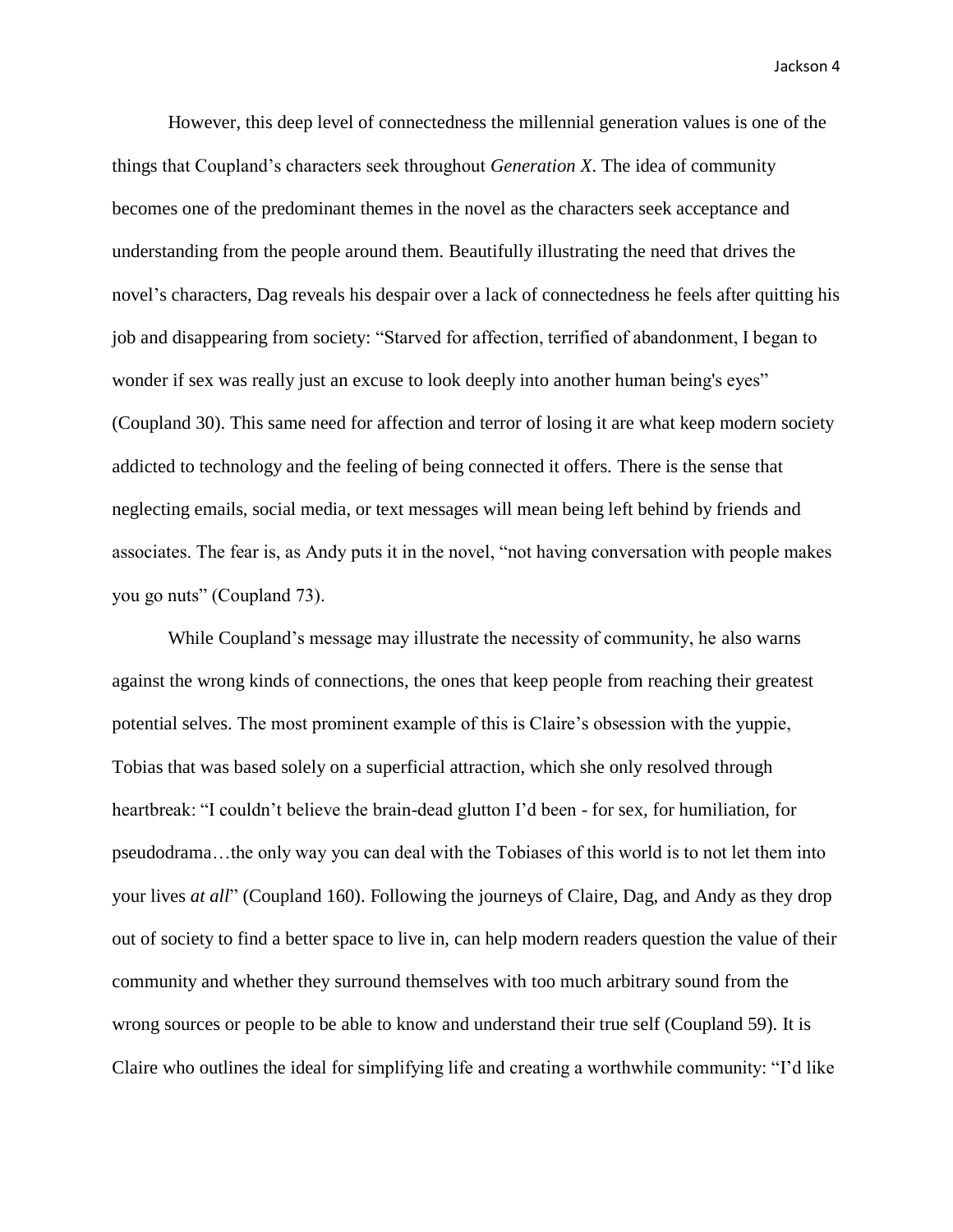However, this deep level of connectedness the millennial generation values is one of the things that Coupland's characters seek throughout *Generation X*. The idea of community becomes one of the predominant themes in the novel as the characters seek acceptance and understanding from the people around them. Beautifully illustrating the need that drives the novel's characters, Dag reveals his despair over a lack of connectedness he feels after quitting his job and disappearing from society: "Starved for affection, terrified of abandonment, I began to wonder if sex was really just an excuse to look deeply into another human being's eyes" (Coupland 30). This same need for affection and terror of losing it are what keep modern society addicted to technology and the feeling of being connected it offers. There is the sense that neglecting emails, social media, or text messages will mean being left behind by friends and associates. The fear is, as Andy puts it in the novel, "not having conversation with people makes you go nuts" (Coupland 73).

While Coupland's message may illustrate the necessity of community, he also warns against the wrong kinds of connections, the ones that keep people from reaching their greatest potential selves. The most prominent example of this is Claire's obsession with the yuppie, Tobias that was based solely on a superficial attraction, which she only resolved through heartbreak: "I couldn't believe the brain-dead glutton I'd been - for sex, for humiliation, for pseudodrama…the only way you can deal with the Tobiases of this world is to not let them into your lives *at all*" (Coupland 160). Following the journeys of Claire, Dag, and Andy as they drop out of society to find a better space to live in, can help modern readers question the value of their community and whether they surround themselves with too much arbitrary sound from the wrong sources or people to be able to know and understand their true self (Coupland 59). It is Claire who outlines the ideal for simplifying life and creating a worthwhile community: "I'd like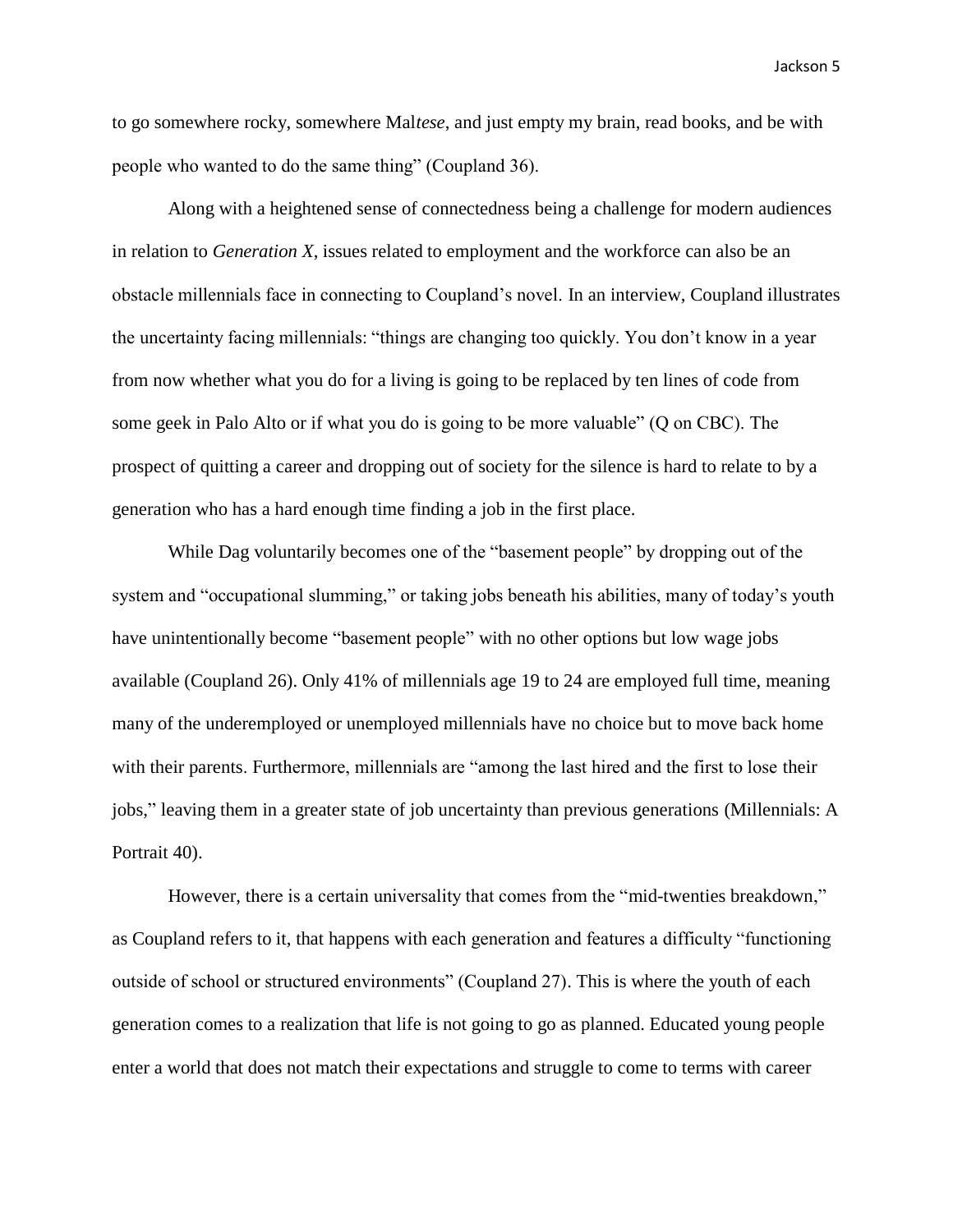to go somewhere rocky, somewhere Mal*tese*, and just empty my brain, read books, and be with people who wanted to do the same thing" (Coupland 36).

Along with a heightened sense of connectedness being a challenge for modern audiences in relation to *Generation X*, issues related to employment and the workforce can also be an obstacle millennials face in connecting to Coupland's novel. In an interview, Coupland illustrates the uncertainty facing millennials: "things are changing too quickly. You don't know in a year from now whether what you do for a living is going to be replaced by ten lines of code from some geek in Palo Alto or if what you do is going to be more valuable" (Q on CBC). The prospect of quitting a career and dropping out of society for the silence is hard to relate to by a generation who has a hard enough time finding a job in the first place.

While Dag voluntarily becomes one of the "basement people" by dropping out of the system and "occupational slumming," or taking jobs beneath his abilities, many of today's youth have unintentionally become "basement people" with no other options but low wage jobs available (Coupland 26). Only 41% of millennials age 19 to 24 are employed full time, meaning many of the underemployed or unemployed millennials have no choice but to move back home with their parents. Furthermore, millennials are "among the last hired and the first to lose their jobs," leaving them in a greater state of job uncertainty than previous generations (Millennials: A Portrait 40).

However, there is a certain universality that comes from the "mid-twenties breakdown," as Coupland refers to it, that happens with each generation and features a difficulty "functioning outside of school or structured environments" (Coupland 27). This is where the youth of each generation comes to a realization that life is not going to go as planned. Educated young people enter a world that does not match their expectations and struggle to come to terms with career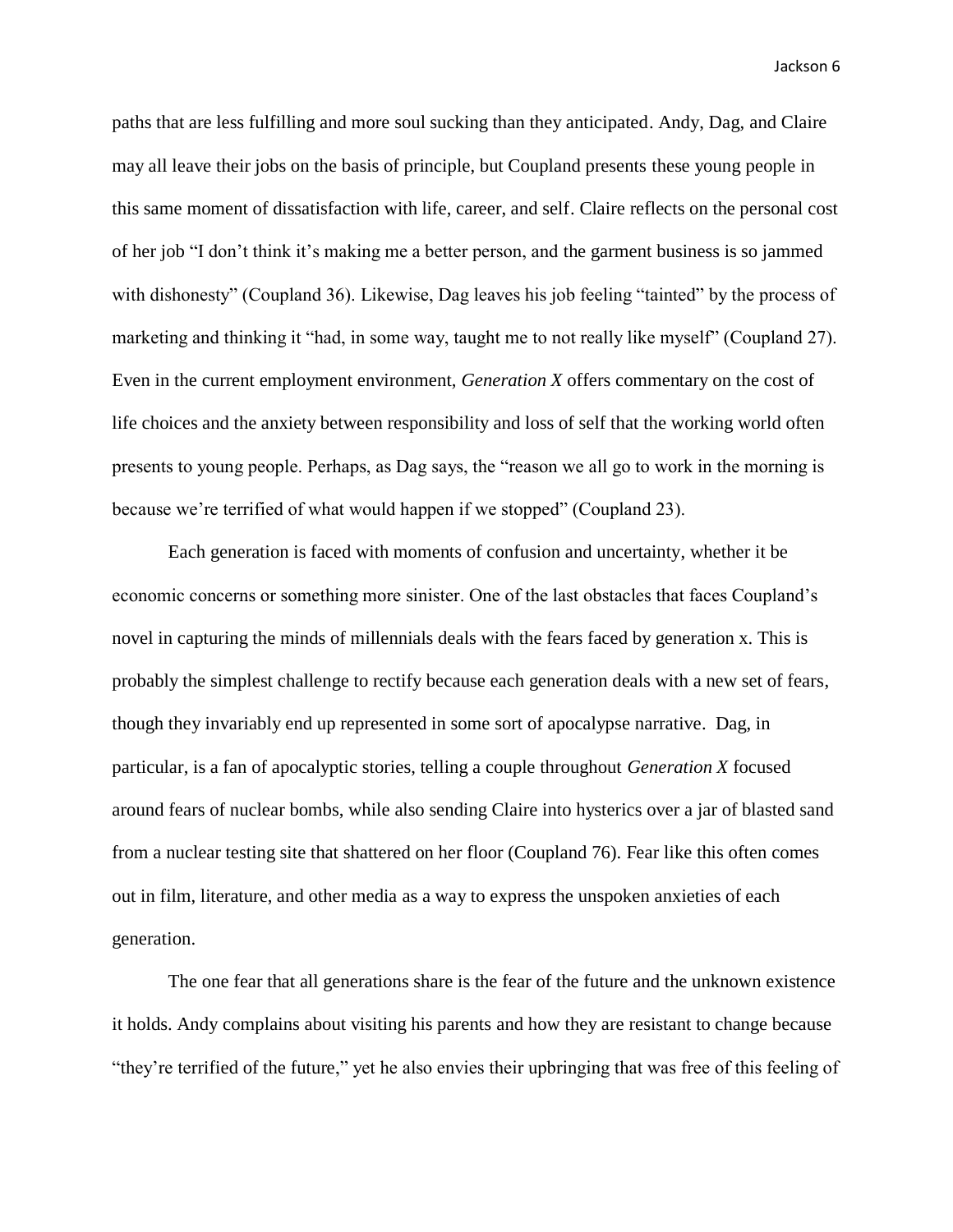paths that are less fulfilling and more soul sucking than they anticipated. Andy, Dag, and Claire may all leave their jobs on the basis of principle, but Coupland presents these young people in this same moment of dissatisfaction with life, career, and self. Claire reflects on the personal cost of her job "I don't think it's making me a better person, and the garment business is so jammed with dishonesty" (Coupland 36). Likewise, Dag leaves his job feeling "tainted" by the process of marketing and thinking it "had, in some way, taught me to not really like myself" (Coupland 27). Even in the current employment environment, *Generation X* offers commentary on the cost of life choices and the anxiety between responsibility and loss of self that the working world often presents to young people. Perhaps, as Dag says, the "reason we all go to work in the morning is because we're terrified of what would happen if we stopped" (Coupland 23).

Each generation is faced with moments of confusion and uncertainty, whether it be economic concerns or something more sinister. One of the last obstacles that faces Coupland's novel in capturing the minds of millennials deals with the fears faced by generation x. This is probably the simplest challenge to rectify because each generation deals with a new set of fears, though they invariably end up represented in some sort of apocalypse narrative. Dag, in particular, is a fan of apocalyptic stories, telling a couple throughout *Generation X* focused around fears of nuclear bombs, while also sending Claire into hysterics over a jar of blasted sand from a nuclear testing site that shattered on her floor (Coupland 76). Fear like this often comes out in film, literature, and other media as a way to express the unspoken anxieties of each generation.

The one fear that all generations share is the fear of the future and the unknown existence it holds. Andy complains about visiting his parents and how they are resistant to change because "they're terrified of the future," yet he also envies their upbringing that was free of this feeling of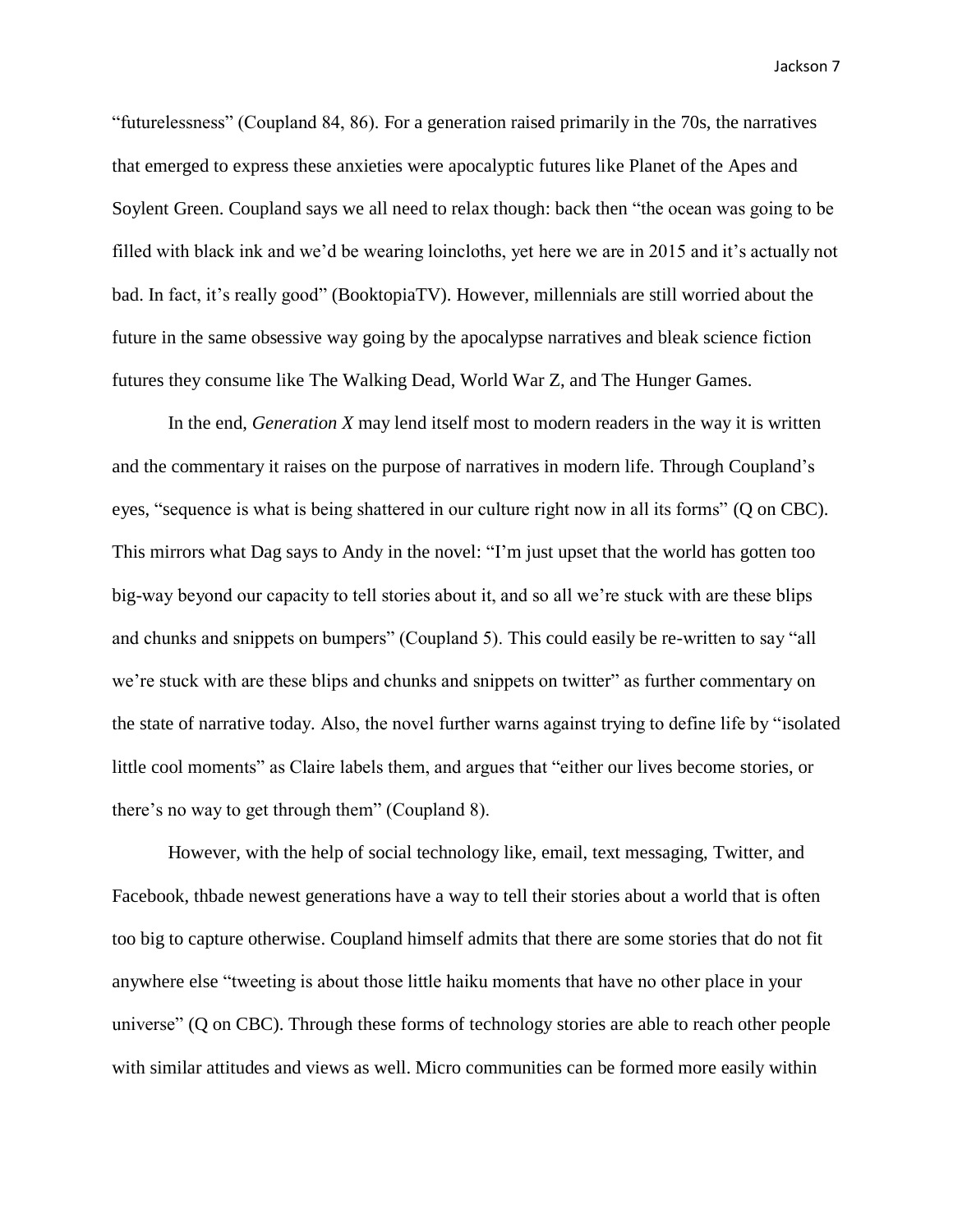"futurelessness" (Coupland 84, 86). For a generation raised primarily in the 70s, the narratives that emerged to express these anxieties were apocalyptic futures like Planet of the Apes and Soylent Green. Coupland says we all need to relax though: back then "the ocean was going to be filled with black ink and we'd be wearing loincloths, yet here we are in 2015 and it's actually not bad. In fact, it's really good" (BooktopiaTV). However, millennials are still worried about the future in the same obsessive way going by the apocalypse narratives and bleak science fiction futures they consume like The Walking Dead, World War Z, and The Hunger Games.

In the end, *Generation X* may lend itself most to modern readers in the way it is written and the commentary it raises on the purpose of narratives in modern life. Through Coupland's eyes, "sequence is what is being shattered in our culture right now in all its forms" (Q on CBC). This mirrors what Dag says to Andy in the novel: "I'm just upset that the world has gotten too big-way beyond our capacity to tell stories about it, and so all we're stuck with are these blips and chunks and snippets on bumpers" (Coupland 5). This could easily be re-written to say "all we're stuck with are these blips and chunks and snippets on twitter" as further commentary on the state of narrative today. Also, the novel further warns against trying to define life by "isolated little cool moments" as Claire labels them, and argues that "either our lives become stories, or there's no way to get through them" (Coupland 8).

However, with the help of social technology like, email, text messaging, Twitter, and Facebook, thbade newest generations have a way to tell their stories about a world that is often too big to capture otherwise. Coupland himself admits that there are some stories that do not fit anywhere else "tweeting is about those little haiku moments that have no other place in your universe" (Q on CBC). Through these forms of technology stories are able to reach other people with similar attitudes and views as well. Micro communities can be formed more easily within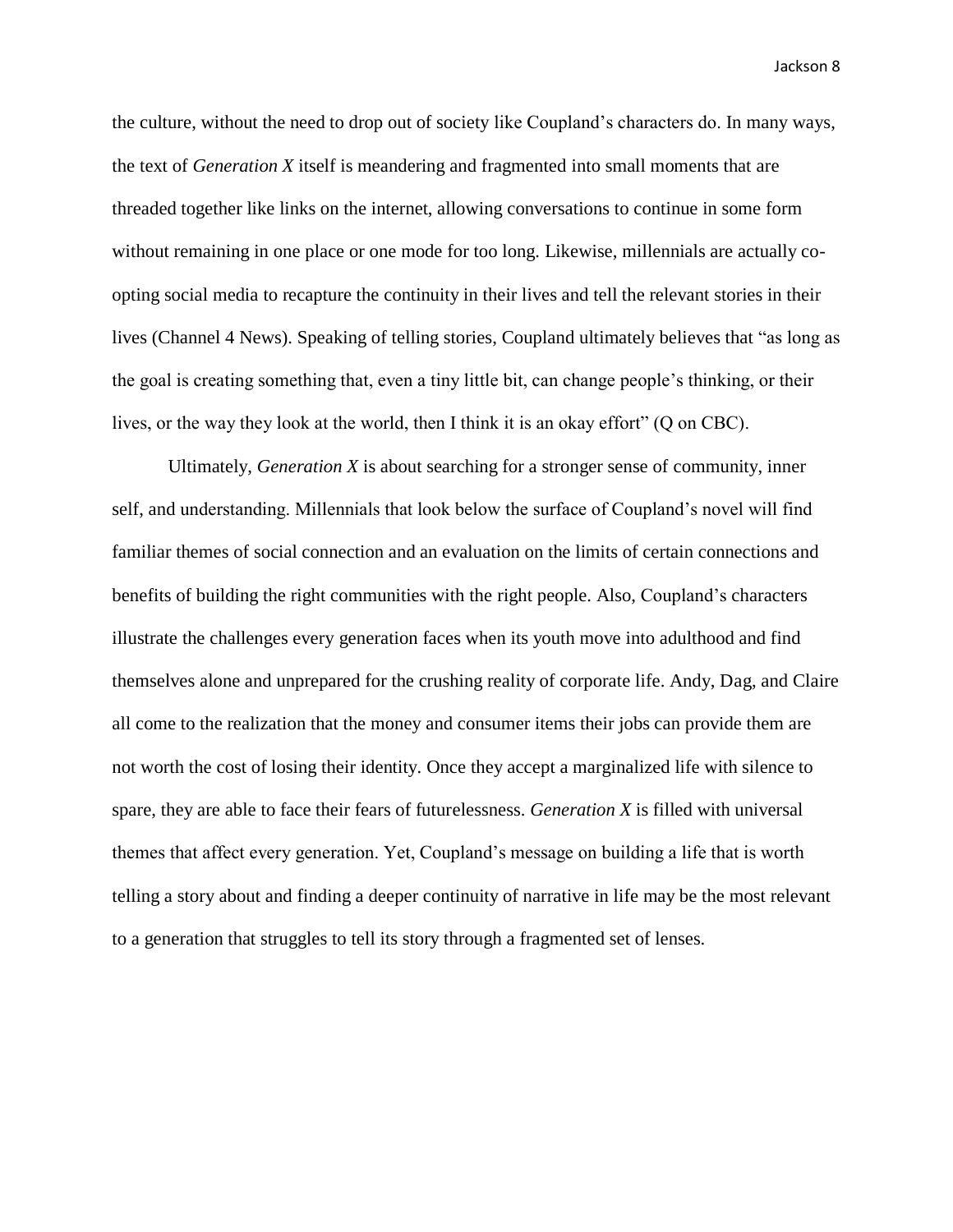the culture, without the need to drop out of society like Coupland's characters do. In many ways, the text of *Generation X* itself is meandering and fragmented into small moments that are threaded together like links on the internet, allowing conversations to continue in some form without remaining in one place or one mode for too long. Likewise, millennials are actually coopting social media to recapture the continuity in their lives and tell the relevant stories in their lives (Channel 4 News). Speaking of telling stories, Coupland ultimately believes that "as long as the goal is creating something that, even a tiny little bit, can change people's thinking, or their lives, or the way they look at the world, then I think it is an okay effort" (Q on CBC).

Ultimately, *Generation X* is about searching for a stronger sense of community, inner self, and understanding. Millennials that look below the surface of Coupland's novel will find familiar themes of social connection and an evaluation on the limits of certain connections and benefits of building the right communities with the right people. Also, Coupland's characters illustrate the challenges every generation faces when its youth move into adulthood and find themselves alone and unprepared for the crushing reality of corporate life. Andy, Dag, and Claire all come to the realization that the money and consumer items their jobs can provide them are not worth the cost of losing their identity. Once they accept a marginalized life with silence to spare, they are able to face their fears of futurelessness. *Generation X* is filled with universal themes that affect every generation. Yet, Coupland's message on building a life that is worth telling a story about and finding a deeper continuity of narrative in life may be the most relevant to a generation that struggles to tell its story through a fragmented set of lenses.